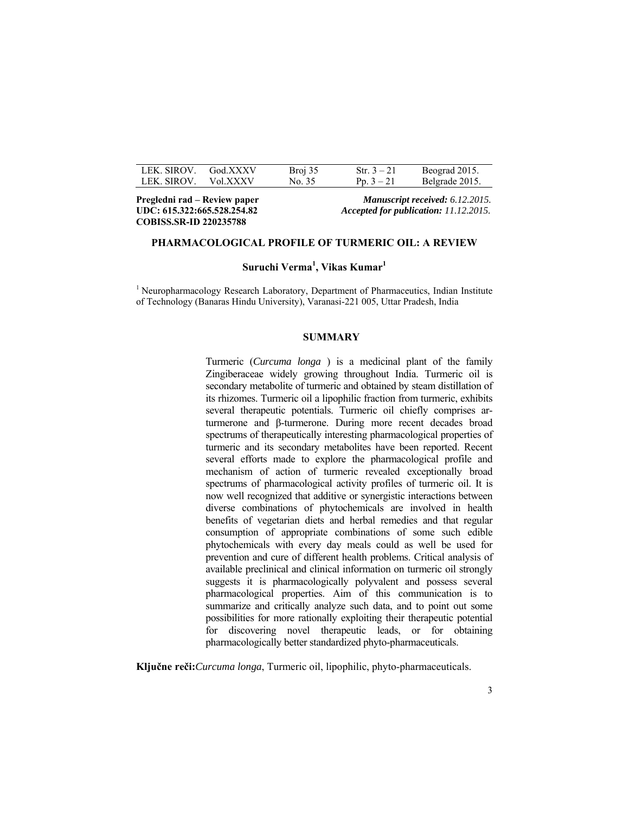| LEK SIROV   | God.XXXV | Broj 35 | Str. $3 - 21$ | Beograd 2015.  |
|-------------|----------|---------|---------------|----------------|
| LEK. SIROV. | Vol XXXV | No. 35  | Pp. $3 - 21$  | Belgrade 2015. |

**COBISS.SR-ID 220235788** 

**Pregledni rad – Review paper** *Manuscript received: 6.12.2015.* **UDC: 615.322:665.528.254.82** *Accepted for publication: 11.12.2015.* 

## **PHARMACOLOGICAL PROFILE OF TURMERIC OIL: A REVIEW**

**Suruchi Verma<sup>1</sup> , Vikas Kumar<sup>1</sup>**

<sup>1</sup> Neuropharmacology Research Laboratory, Department of Pharmaceutics, Indian Institute of Technology (Banaras Hindu University), Varanasi-221 005, Uttar Pradesh, India

#### **SUMMARY**

Turmeric (*Curcuma longa* ) is a medicinal plant of the family Zingiberaceae widely growing throughout India. Turmeric oil is secondary metabolite of turmeric and obtained by steam distillation of its rhizomes. Turmeric oil a lipophilic fraction from turmeric, exhibits several therapeutic potentials. Turmeric oil chiefly comprises arturmerone and β-turmerone. During more recent decades broad spectrums of therapeutically interesting pharmacological properties of turmeric and its secondary metabolites have been reported. Recent several efforts made to explore the pharmacological profile and mechanism of action of turmeric revealed exceptionally broad spectrums of pharmacological activity profiles of turmeric oil. It is now well recognized that additive or synergistic interactions between diverse combinations of phytochemicals are involved in health benefits of vegetarian diets and herbal remedies and that regular consumption of appropriate combinations of some such edible phytochemicals with every day meals could as well be used for prevention and cure of different health problems. Critical analysis of available preclinical and clinical information on turmeric oil strongly suggests it is pharmacologically polyvalent and possess several pharmacological properties. Aim of this communication is to summarize and critically analyze such data, and to point out some possibilities for more rationally exploiting their therapeutic potential for discovering novel therapeutic leads, or for obtaining pharmacologically better standardized phyto-pharmaceuticals.

**Ključne reči:***Curcuma longa*, Turmeric oil, lipophilic, phyto-pharmaceuticals.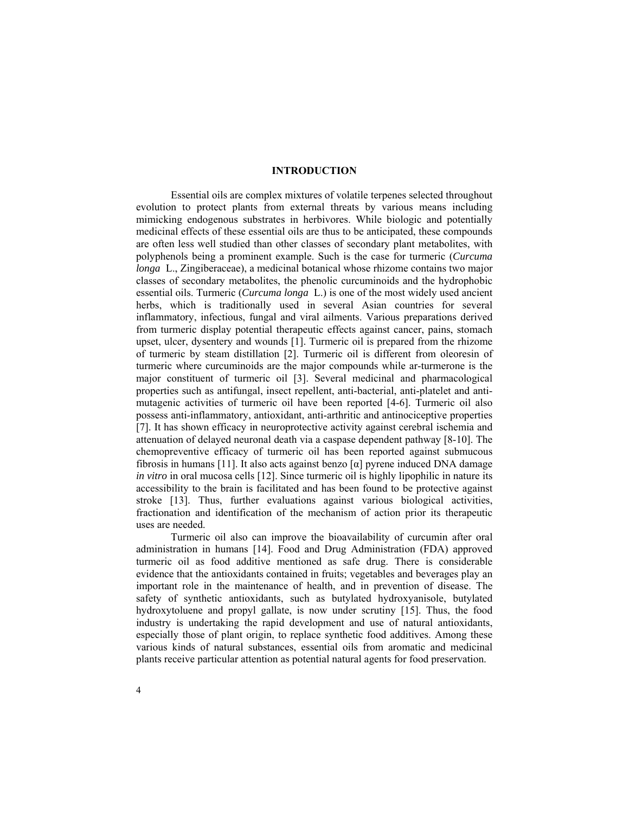## **INTRODUCTION**

Essential oils are complex mixtures of volatile terpenes selected throughout evolution to protect plants from external threats by various means including mimicking endogenous substrates in herbivores. While biologic and potentially medicinal effects of these essential oils are thus to be anticipated, these compounds are often less well studied than other classes of secondary plant metabolites, with polyphenols being a prominent example. Such is the case for turmeric (*Curcuma longa* L., Zingiberaceae), a medicinal botanical whose rhizome contains two major classes of secondary metabolites, the phenolic curcuminoids and the hydrophobic essential oils. Turmeric (*Curcuma longa* L.) is one of the most widely used ancient herbs, which is traditionally used in several Asian countries for several inflammatory, infectious, fungal and viral ailments. Various preparations derived from turmeric display potential therapeutic effects against cancer, pains, stomach upset, ulcer, dysentery and wounds [1]. Turmeric oil is prepared from the rhizome of turmeric by steam distillation [2]. Turmeric oil is different from oleoresin of turmeric where curcuminoids are the major compounds while ar-turmerone is the major constituent of turmeric oil [3]. Several medicinal and pharmacological properties such as antifungal, insect repellent, anti-bacterial, anti-platelet and antimutagenic activities of turmeric oil have been reported [4-6]. Turmeric oil also possess anti-inflammatory, antioxidant, anti-arthritic and antinociceptive properties [7]. It has shown efficacy in neuroprotective activity against cerebral ischemia and attenuation of delayed neuronal death via a caspase dependent pathway [8-10]. The chemopreventive efficacy of turmeric oil has been reported against submucous fibrosis in humans [11]. It also acts against benzo [α] pyrene induced DNA damage *in vitro* in oral mucosa cells [12]. Since turmeric oil is highly lipophilic in nature its accessibility to the brain is facilitated and has been found to be protective against stroke [13]. Thus, further evaluations against various biological activities, fractionation and identification of the mechanism of action prior its therapeutic uses are needed.

Turmeric oil also can improve the bioavailability of curcumin after oral administration in humans [14]. Food and Drug Administration (FDA) approved turmeric oil as food additive mentioned as safe drug. There is considerable evidence that the antioxidants contained in fruits; vegetables and beverages play an important role in the maintenance of health, and in prevention of disease. The safety of synthetic antioxidants, such as butylated hydroxyanisole, butylated hydroxytoluene and propyl gallate, is now under scrutiny [15]. Thus, the food industry is undertaking the rapid development and use of natural antioxidants, especially those of plant origin, to replace synthetic food additives. Among these various kinds of natural substances, essential oils from aromatic and medicinal plants receive particular attention as potential natural agents for food preservation.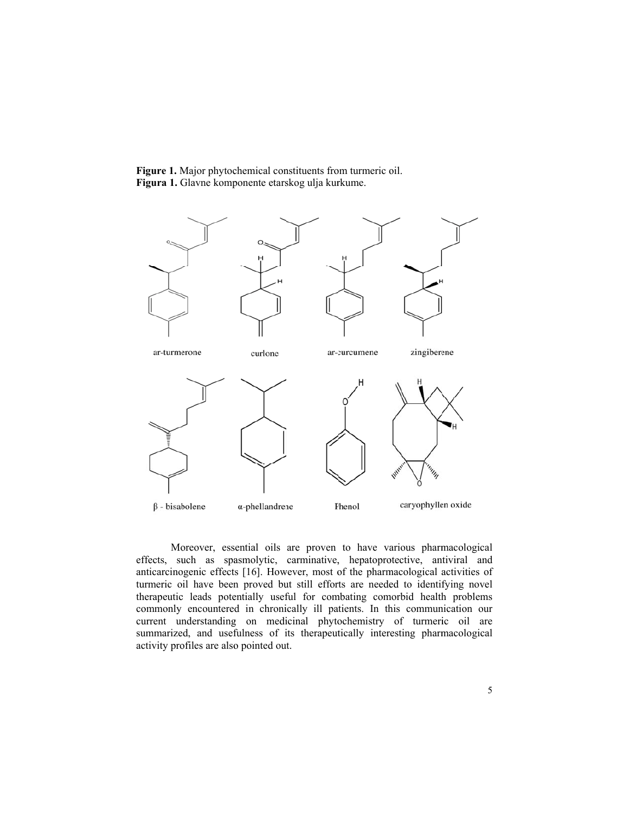Figure 1. Major phytochemical constituents from turmeric oil. Figura 1. Glavne komponente etarskog ulja kurkume.



Moreover, essential oils are proven to have various pharmacological effects, such as spasmolytic, carminative, hepatoprotective, antiviral and anticarcinogenic effects [16]. However, most of the pharmacological activities of turmeric oil have been proved but still efforts are needed to identifying novel therapeutic leads potentially useful for combating comorbid health problems commonly encountered in chronically ill patients. In this communication our current understanding on medicinal phytochemistry of turmeric oil are summarized, and usefulness of its therapeutically interesting pharmacological activity profiles are also pointed out.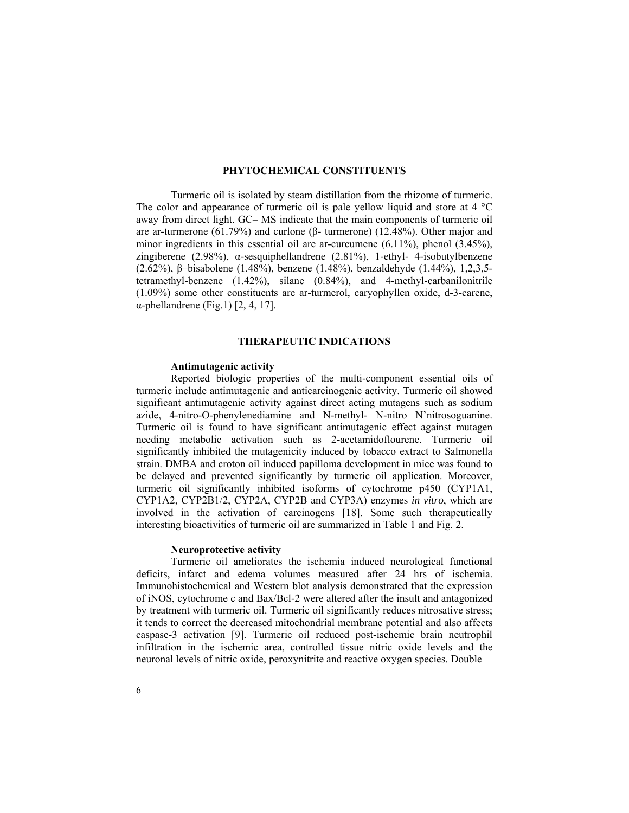## **PHYTOCHEMICAL CONSTITUENTS**

Turmeric oil is isolated by steam distillation from the rhizome of turmeric. The color and appearance of turmeric oil is pale yellow liquid and store at  $4 \degree C$ away from direct light. GC– MS indicate that the main components of turmeric oil are ar-turmerone (61.79%) and curlone (β- turmerone) (12.48%). Other major and minor ingredients in this essential oil are ar-curcumene  $(6.11\%)$ , phenol  $(3.45\%)$ , zingiberene (2.98%), α-sesquiphellandrene (2.81%), 1-ethyl- 4-isobutylbenzene (2.62%), β–bisabolene (1.48%), benzene (1.48%), benzaldehyde (1.44%), 1,2,3,5 tetramethyl-benzene (1.42%), silane (0.84%), and 4-methyl-carbanilonitrile (1.09%) some other constituents are ar-turmerol, caryophyllen oxide, d-3-carene, α-phellandrene (Fig.1) [2, 4, 17].

## **THERAPEUTIC INDICATIONS**

## **Antimutagenic activity**

Reported biologic properties of the multi-component essential oils of turmeric include antimutagenic and anticarcinogenic activity. Turmeric oil showed significant antimutagenic activity against direct acting mutagens such as sodium azide, 4-nitro-O-phenylenediamine and N-methyl- N-nitro N'nitrosoguanine. Turmeric oil is found to have significant antimutagenic effect against mutagen needing metabolic activation such as 2-acetamidoflourene. Turmeric oil significantly inhibited the mutagenicity induced by tobacco extract to Salmonella strain. DMBA and croton oil induced papilloma development in mice was found to be delayed and prevented significantly by turmeric oil application. Moreover, turmeric oil significantly inhibited isoforms of cytochrome p450 (CYP1A1, CYP1A2, CYP2B1/2, CYP2A, CYP2B and CYP3A) enzymes *in vitro*, which are involved in the activation of carcinogens [18]. Some such therapeutically interesting bioactivities of turmeric oil are summarized in Table 1 and Fig. 2.

#### **Neuroprotective activity**

Turmeric oil ameliorates the ischemia induced neurological functional deficits, infarct and edema volumes measured after 24 hrs of ischemia. Immunohistochemical and Western blot analysis demonstrated that the expression of iNOS, cytochrome c and Bax/Bcl-2 were altered after the insult and antagonized by treatment with turmeric oil. Turmeric oil significantly reduces nitrosative stress; it tends to correct the decreased mitochondrial membrane potential and also affects caspase-3 activation [9]. Turmeric oil reduced post-ischemic brain neutrophil infiltration in the ischemic area, controlled tissue nitric oxide levels and the neuronal levels of nitric oxide, peroxynitrite and reactive oxygen species. Double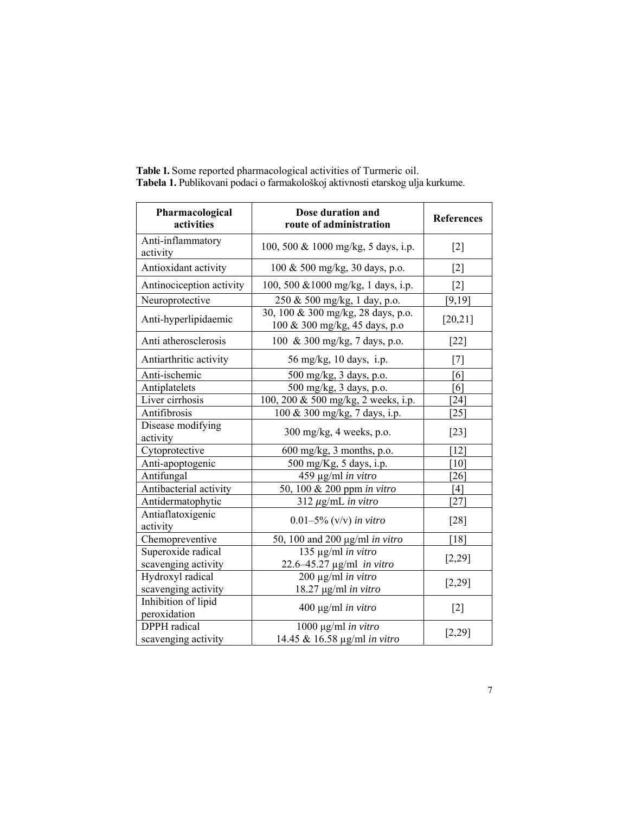| Pharmacological<br>activities       | Dose duration and<br>route of administration                        | <b>References</b>             |
|-------------------------------------|---------------------------------------------------------------------|-------------------------------|
| Anti-inflammatory<br>activity       | 100, 500 & 1000 mg/kg, 5 days, i.p.                                 | $[2]$                         |
| Antioxidant activity                | 100 & 500 mg/kg, 30 days, p.o.                                      | $[2]$                         |
| Antinociception activity            | 100, 500 & 1000 mg/kg, 1 days, i.p.                                 | $\lceil 2 \rceil$             |
| Neuroprotective                     | 250 & 500 mg/kg, 1 day, p.o.                                        | [9, 19]                       |
| Anti-hyperlipidaemic                | 30, 100 & 300 mg/kg, 28 days, p.o.<br>100 & 300 mg/kg, 45 days, p.o | [20, 21]                      |
| Anti atherosclerosis                | 100 & 300 mg/kg, 7 days, p.o.                                       | $[22]$                        |
| Antiarthritic activity              | 56 mg/kg, 10 days, i.p.                                             | $[7]$                         |
| Anti-ischemic                       | 500 mg/kg, 3 days, p.o.                                             | [6]                           |
| Antiplatelets                       | 500 mg/kg, 3 days, p.o.                                             | [6]                           |
| Liver cirrhosis                     | 100, 200 & 500 mg/kg, 2 weeks, i.p.                                 | $\lceil 24 \rceil$            |
| Antifibrosis                        | 100 & 300 mg/kg, 7 days, i.p.                                       | [25]                          |
| Disease modifying<br>activity       | 300 mg/kg, 4 weeks, p.o.                                            | $[23]$                        |
| Cytoprotective                      | 600 mg/kg, 3 months, p.o.                                           | $\lceil 12 \rceil$            |
| Anti-apoptogenic                    | 500 mg/Kg, 5 days, i.p.                                             | [10]                          |
| Antifungal                          | 459 µg/ml in vitro                                                  | $\left\lceil 26 \right\rceil$ |
| Antibacterial activity              | 50, 100 & 200 ppm in vitro                                          | [4]                           |
| Antidermatophytic                   | $312 \mu g/mL$ in vitro                                             | [27]                          |
| Antiaflatoxigenic<br>activity       | $0.01 - 5\%$ (v/v) in vitro                                         | $[28]$                        |
| Chemopreventive                     | 50, 100 and 200 $\mu$ g/ml in vitro                                 | [18]                          |
| Superoxide radical                  | 135 µg/ml in vitro                                                  |                               |
| scavenging activity                 | 22.6-45.27 µg/ml in vitro                                           | [2,29]                        |
| Hydroxyl radical                    | $200 \mu g/ml$ in vitro                                             | [2,29]                        |
| scavenging activity                 | 18.27 µg/ml in vitro                                                |                               |
| Inhibition of lipid<br>peroxidation | 400 μg/ml in vitro                                                  | $[2]$                         |
| <b>DPPH</b> radical                 | 1000 µg/ml in vitro                                                 |                               |
| scavenging activity                 | 14.45 & 16.58 µg/ml in vitro                                        | [2,29]                        |

**Table 1.** Some reported pharmacological activities of Turmeric oil. **Tabela 1.** Publikovani podaci o farmakološkoj aktivnosti etarskog ulja kurkume.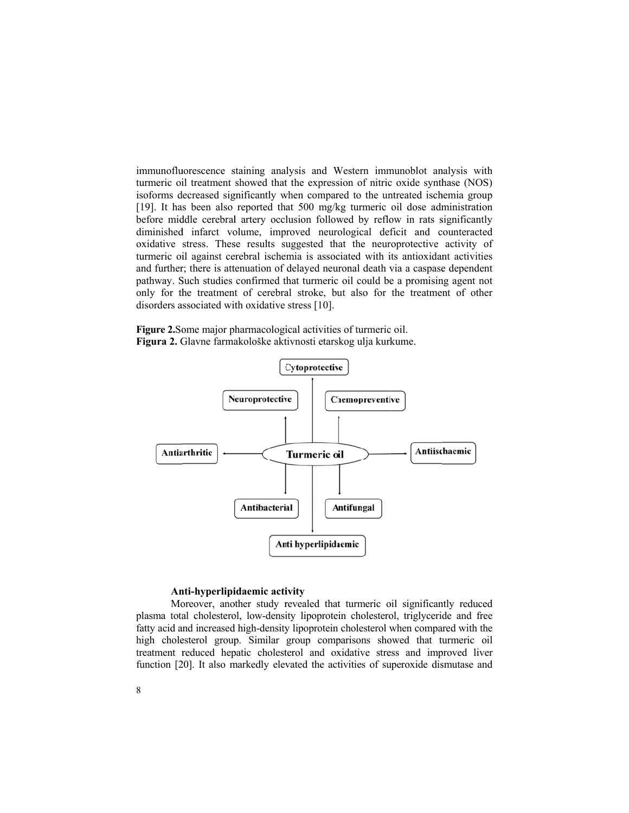immunofluorescence staining analysis and Western immunoblot analysis with turmeric oil treatment showed that the expression of nitric oxide synthase (NOS) isoforms decreased significantly when compared to the untreated ischemia group [19]. It has been also reported that 500 mg/kg turmeric oil dose administration before middle cerebral artery occlusion followed by reflow in rats significantly diminished infarct volume, improved neurological deficit and counteracted oxidative stress. These results suggested that the neuroprotective activity of turmeric oil against cerebral ischemia is associated with its antioxidant activities and further; there is attenuation of delayed neuronal death via a caspase dependent pathway. Such studies confirmed that turmeric oil could be a promising agent not only for the treatment of cerebral stroke, but also for the treatment of other disorders associated with oxidative stress [10].

Figure 2. Some major pharmacological activities of turmeric oil. Figura 2. Glavne farmakološke aktivnosti etarskog ulja kurkume.



#### Anti-hyperlipidaemic activity

Moreover, another study revealed that turmeric oil significantly reduced plasma total cholesterol, low-density lipoprotein cholesterol, triglyceride and free fatty acid and increased high-density lipoprotein cholesterol when compared with the high cholesterol group. Similar group comparisons showed that turmeric oil treatment reduced hepatic cholesterol and oxidative stress and improved liver function [20]. It also markedly elevated the activities of superoxide dismutase and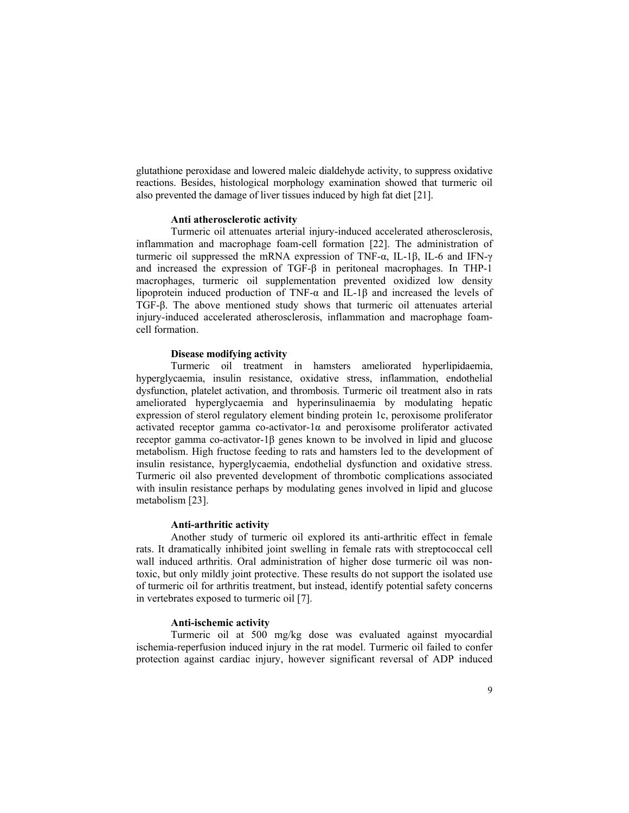glutathione peroxidase and lowered maleic dialdehyde activity, to suppress oxidative reactions. Besides, histological morphology examination showed that turmeric oil also prevented the damage of liver tissues induced by high fat diet [21].

## **Anti atherosclerotic activity**

Turmeric oil attenuates arterial injury-induced accelerated atherosclerosis, inflammation and macrophage foam-cell formation [22]. The administration of turmeric oil suppressed the mRNA expression of TNF- $\alpha$ , IL-1 $\beta$ , IL-6 and IFN- $\gamma$ and increased the expression of TGF-β in peritoneal macrophages. In THP-1 macrophages, turmeric oil supplementation prevented oxidized low density lipoprotein induced production of TNF-α and IL-1β and increased the levels of TGF-β. The above mentioned study shows that turmeric oil attenuates arterial injury-induced accelerated atherosclerosis, inflammation and macrophage foamcell formation.

## **Disease modifying activity**

Turmeric oil treatment in hamsters ameliorated hyperlipidaemia, hyperglycaemia, insulin resistance, oxidative stress, inflammation, endothelial dysfunction, platelet activation, and thrombosis. Turmeric oil treatment also in rats ameliorated hyperglycaemia and hyperinsulinaemia by modulating hepatic expression of sterol regulatory element binding protein 1c, peroxisome proliferator activated receptor gamma co-activator-1α and peroxisome proliferator activated receptor gamma co-activator-1β genes known to be involved in lipid and glucose metabolism. High fructose feeding to rats and hamsters led to the development of insulin resistance, hyperglycaemia, endothelial dysfunction and oxidative stress. Turmeric oil also prevented development of thrombotic complications associated with insulin resistance perhaps by modulating genes involved in lipid and glucose metabolism [23].

## **Anti-arthritic activity**

Another study of turmeric oil explored its anti-arthritic effect in female rats. It dramatically inhibited joint swelling in female rats with streptococcal cell wall induced arthritis. Oral administration of higher dose turmeric oil was nontoxic, but only mildly joint protective. These results do not support the isolated use of turmeric oil for arthritis treatment, but instead, identify potential safety concerns in vertebrates exposed to turmeric oil [7].

#### **Anti-ischemic activity**

Turmeric oil at 500 mg/kg dose was evaluated against myocardial ischemia-reperfusion induced injury in the rat model. Turmeric oil failed to confer protection against cardiac injury, however significant reversal of ADP induced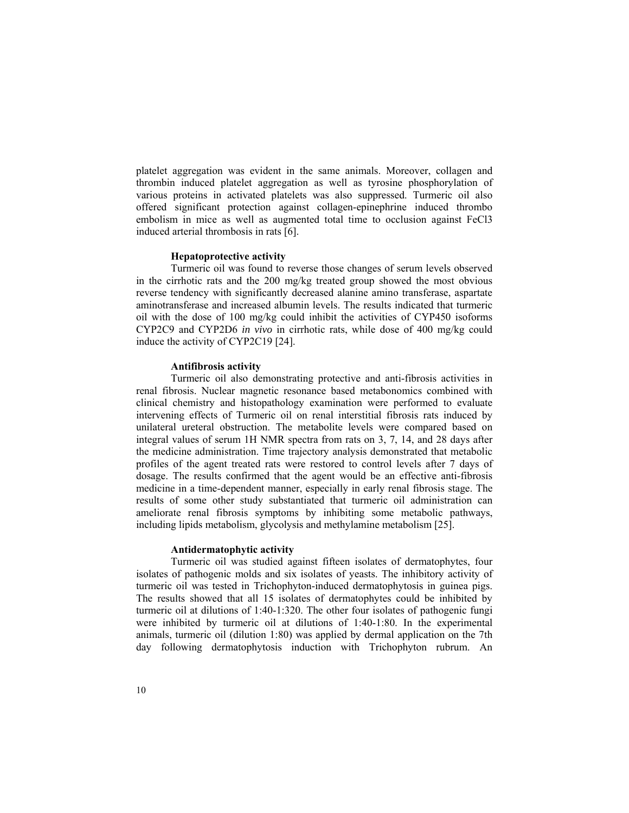platelet aggregation was evident in the same animals. Moreover, collagen and thrombin induced platelet aggregation as well as tyrosine phosphorylation of various proteins in activated platelets was also suppressed. Turmeric oil also offered significant protection against collagen-epinephrine induced thrombo embolism in mice as well as augmented total time to occlusion against FeCl3 induced arterial thrombosis in rats [6].

## **Hepatoprotective activity**

Turmeric oil was found to reverse those changes of serum levels observed in the cirrhotic rats and the 200 mg/kg treated group showed the most obvious reverse tendency with significantly decreased alanine amino transferase, aspartate aminotransferase and increased albumin levels. The results indicated that turmeric oil with the dose of 100 mg/kg could inhibit the activities of CYP450 isoforms CYP2C9 and CYP2D6 *in vivo* in cirrhotic rats, while dose of 400 mg/kg could induce the activity of CYP2C19 [24].

## **Antifibrosis activity**

Turmeric oil also demonstrating protective and anti-fibrosis activities in renal fibrosis. Nuclear magnetic resonance based metabonomics combined with clinical chemistry and histopathology examination were performed to evaluate intervening effects of Turmeric oil on renal interstitial fibrosis rats induced by unilateral ureteral obstruction. The metabolite levels were compared based on integral values of serum 1H NMR spectra from rats on 3, 7, 14, and 28 days after the medicine administration. Time trajectory analysis demonstrated that metabolic profiles of the agent treated rats were restored to control levels after 7 days of dosage. The results confirmed that the agent would be an effective anti-fibrosis medicine in a time-dependent manner, especially in early renal fibrosis stage. The results of some other study substantiated that turmeric oil administration can ameliorate renal fibrosis symptoms by inhibiting some metabolic pathways, including lipids metabolism, glycolysis and methylamine metabolism [25].

#### **Antidermatophytic activity**

Turmeric oil was studied against fifteen isolates of dermatophytes, four isolates of pathogenic molds and six isolates of yeasts. The inhibitory activity of turmeric oil was tested in Trichophyton-induced dermatophytosis in guinea pigs. The results showed that all 15 isolates of dermatophytes could be inhibited by turmeric oil at dilutions of 1:40-1:320. The other four isolates of pathogenic fungi were inhibited by turmeric oil at dilutions of 1:40-1:80. In the experimental animals, turmeric oil (dilution 1:80) was applied by dermal application on the 7th day following dermatophytosis induction with Trichophyton rubrum. An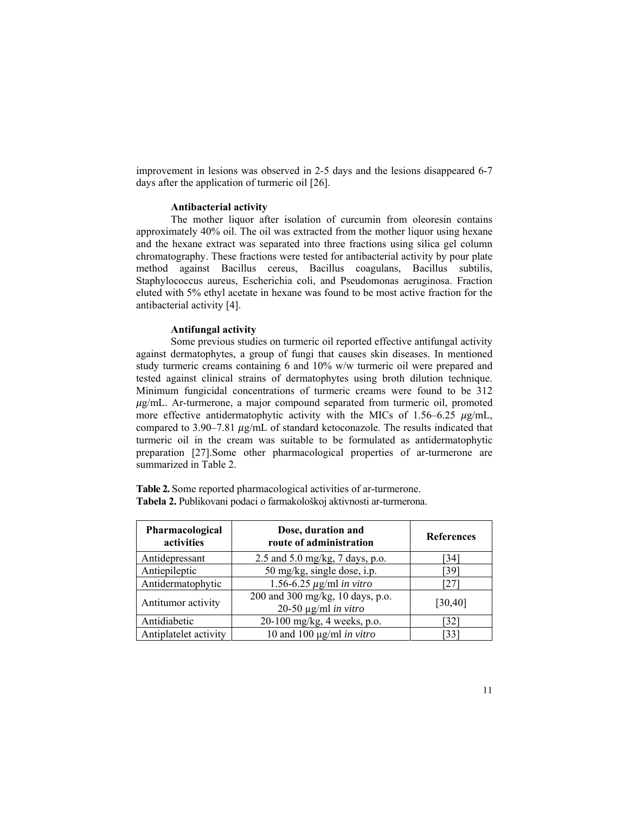improvement in lesions was observed in 2-5 days and the lesions disappeared 6-7 days after the application of turmeric oil [26].

#### **Antibacterial activity**

The mother liquor after isolation of curcumin from oleoresin contains approximately 40% oil. The oil was extracted from the mother liquor using hexane and the hexane extract was separated into three fractions using silica gel column chromatography. These fractions were tested for antibacterial activity by pour plate method against Bacillus cereus, Bacillus coagulans, Bacillus subtilis, Staphylococcus aureus, Escherichia coli, and Pseudomonas aeruginosa. Fraction eluted with 5% ethyl acetate in hexane was found to be most active fraction for the antibacterial activity [4].

#### **Antifungal activity**

Some previous studies on turmeric oil reported effective antifungal activity against dermatophytes, a group of fungi that causes skin diseases. In mentioned study turmeric creams containing 6 and 10% w/w turmeric oil were prepared and tested against clinical strains of dermatophytes using broth dilution technique. Minimum fungicidal concentrations of turmeric creams were found to be 312  $\mu$ g/mL. Ar-turmerone, a major compound separated from turmeric oil, promoted more effective antidermatophytic activity with the MICs of 1.56–6.25  $\mu$ g/mL, compared to  $3.90 - 7.81 \mu g/mL$  of standard ketoconazole. The results indicated that turmeric oil in the cream was suitable to be formulated as antidermatophytic preparation [27].Some other pharmacological properties of ar-turmerone are summarized in Table 2.

**Table 2.** Some reported pharmacological activities of ar-turmerone. **Tabela 2.** Publikovani podaci o farmakološkoj aktivnosti ar-turmerona.

| Pharmacological<br>activities | Dose, duration and<br>route of administration                 | <b>References</b> |
|-------------------------------|---------------------------------------------------------------|-------------------|
| Antidepressant                | 2.5 and 5.0 mg/kg, 7 days, p.o.                               | 34 I              |
| Antiepileptic                 | 50 mg/kg, single dose, i.p.                                   | [39]              |
| Antidermatophytic             | 1.56-6.25 $\mu$ g/ml in vitro                                 | 27 I              |
| Antitumor activity            | 200 and 300 mg/kg, 10 days, p.o.<br>20-50 $\mu$ g/ml in vitro | [30, 40]          |
| Antidiabetic                  | 20-100 mg/kg, 4 weeks, p.o.                                   | 321               |
| Antiplatelet activity         | 10 and 100 $\mu$ g/ml <i>in vitro</i>                         | 33                |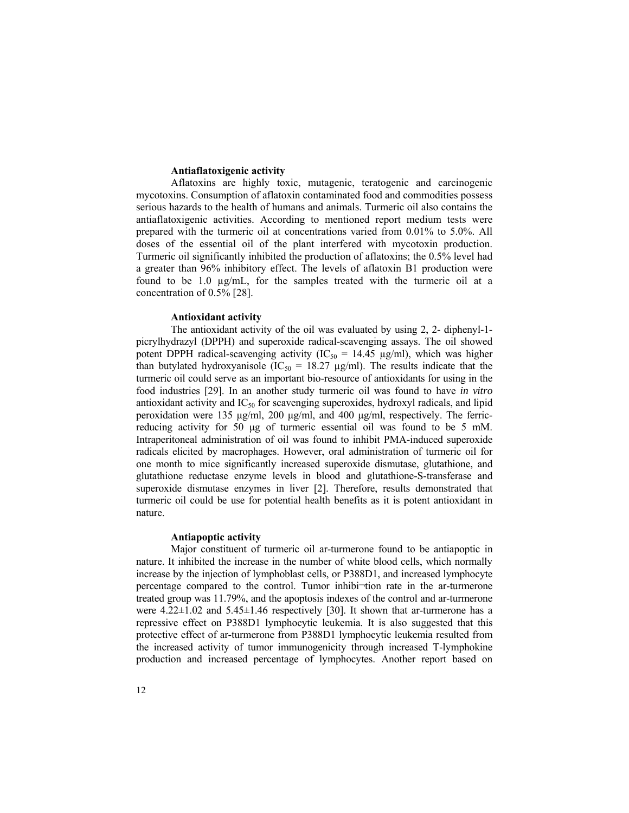#### **Antiaflatoxigenic activity**

Aflatoxins are highly toxic, mutagenic, teratogenic and carcinogenic mycotoxins. Consumption of aflatoxin contaminated food and commodities possess serious hazards to the health of humans and animals. Turmeric oil also contains the antiaflatoxigenic activities. According to mentioned report medium tests were prepared with the turmeric oil at concentrations varied from 0.01% to 5.0%. All doses of the essential oil of the plant interfered with mycotoxin production. Turmeric oil significantly inhibited the production of aflatoxins; the 0.5% level had a greater than 96% inhibitory effect. The levels of aflatoxin B1 production were found to be 1.0 µg/mL, for the samples treated with the turmeric oil at a concentration of 0.5% [28].

## **Antioxidant activity**

The antioxidant activity of the oil was evaluated by using 2, 2- diphenyl-1 picrylhydrazyl (DPPH) and superoxide radical-scavenging assays. The oil showed potent DPPH radical-scavenging activity ( $IC_{50} = 14.45 \text{ µg/ml}$ ), which was higher than butylated hydroxyanisole (IC<sub>50</sub> = 18.27 µg/ml). The results indicate that the turmeric oil could serve as an important bio-resource of antioxidants for using in the food industries [29]. In an another study turmeric oil was found to have *in vitro* antioxidant activity and  $IC_{50}$  for scavenging superoxides, hydroxyl radicals, and lipid peroxidation were 135 μg/ml, 200 μg/ml, and 400 μg/ml, respectively. The ferricreducing activity for 50 μg of turmeric essential oil was found to be 5 mM. Intraperitoneal administration of oil was found to inhibit PMA-induced superoxide radicals elicited by macrophages. However, oral administration of turmeric oil for one month to mice significantly increased superoxide dismutase, glutathione, and glutathione reductase enzyme levels in blood and glutathione-S-transferase and superoxide dismutase enzymes in liver [2]. Therefore, results demonstrated that turmeric oil could be use for potential health benefits as it is potent antioxidant in nature.

## **Antiapoptic activity**

Major constituent of turmeric oil ar-turmerone found to be antiapoptic in nature. It inhibited the increase in the number of white blood cells, which normally increase by the injection of lymphoblast cells, or P388D1, and increased lymphocyte percentage compared to the control. Tumor inhibi-tion rate in the ar-turmerone treated group was 11.79%, and the apoptosis indexes of the control and ar-turmerone were  $4.22 \pm 1.02$  and  $5.45 \pm 1.46$  respectively [30]. It shown that ar-turmerone has a repressive effect on P388D1 lymphocytic leukemia. It is also suggested that this protective effect of ar-turmerone from P388D1 lymphocytic leukemia resulted from the increased activity of tumor immunogenicity through increased T-lymphokine production and increased percentage of lymphocytes. Another report based on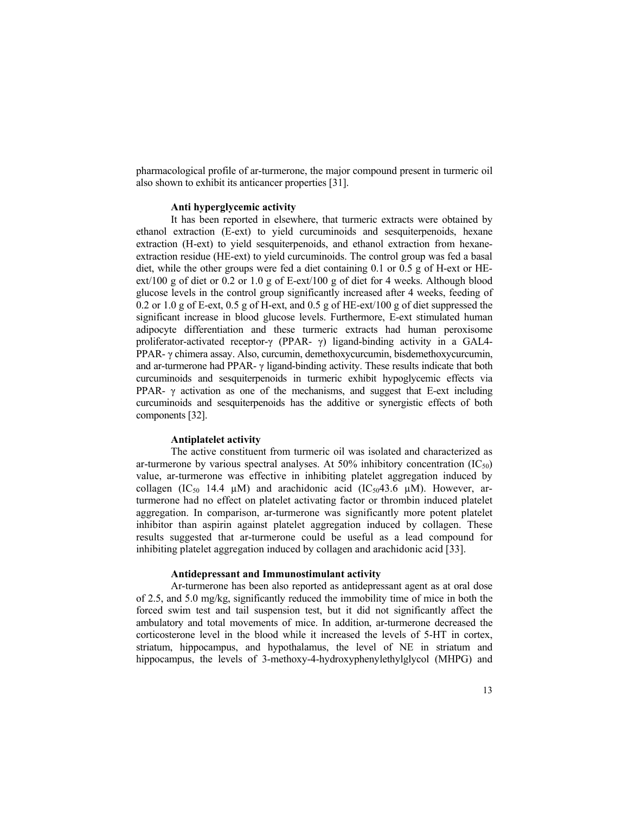pharmacological profile of ar-turmerone, the major compound present in turmeric oil also shown to exhibit its anticancer properties [31].

### **Anti hyperglycemic activity**

It has been reported in elsewhere, that turmeric extracts were obtained by ethanol extraction (E-ext) to yield curcuminoids and sesquiterpenoids, hexane extraction (H-ext) to yield sesquiterpenoids, and ethanol extraction from hexaneextraction residue (HE-ext) to yield curcuminoids. The control group was fed a basal diet, while the other groups were fed a diet containing 0.1 or 0.5 g of H-ext or HEext/100 g of diet or 0.2 or 1.0 g of E-ext/100 g of diet for 4 weeks. Although blood glucose levels in the control group significantly increased after 4 weeks, feeding of 0.2 or 1.0 g of E-ext, 0.5 g of H-ext, and 0.5 g of HE-ext/100 g of diet suppressed the significant increase in blood glucose levels. Furthermore, E-ext stimulated human adipocyte differentiation and these turmeric extracts had human peroxisome proliferator-activated receptor-γ (PPAR- γ) ligand-binding activity in a GAL4- PPAR- γ chimera assay. Also, curcumin, demethoxycurcumin, bisdemethoxycurcumin, and ar-turmerone had PPAR- γ ligand-binding activity. These results indicate that both curcuminoids and sesquiterpenoids in turmeric exhibit hypoglycemic effects via PPAR-  $\gamma$  activation as one of the mechanisms, and suggest that E-ext including curcuminoids and sesquiterpenoids has the additive or synergistic effects of both components [32].

## **Antiplatelet activity**

The active constituent from turmeric oil was isolated and characterized as ar-turmerone by various spectral analyses. At 50% inhibitory concentration  $(IC_{50})$ value, ar-turmerone was effective in inhibiting platelet aggregation induced by collagen (IC<sub>50</sub> 14.4  $\mu$ M) and arachidonic acid (IC<sub>50</sub>43.6  $\mu$ M). However, arturmerone had no effect on platelet activating factor or thrombin induced platelet aggregation. In comparison, ar-turmerone was significantly more potent platelet inhibitor than aspirin against platelet aggregation induced by collagen. These results suggested that ar-turmerone could be useful as a lead compound for inhibiting platelet aggregation induced by collagen and arachidonic acid [33].

#### **Antidepressant and Immunostimulant activity**

Ar-turmerone has been also reported as antidepressant agent as at oral dose of 2.5, and 5.0 mg/kg, significantly reduced the immobility time of mice in both the forced swim test and tail suspension test, but it did not significantly affect the ambulatory and total movements of mice. In addition, ar-turmerone decreased the corticosterone level in the blood while it increased the levels of 5-HT in cortex, striatum, hippocampus, and hypothalamus, the level of NE in striatum and hippocampus, the levels of 3-methoxy-4-hydroxyphenylethylglycol (MHPG) and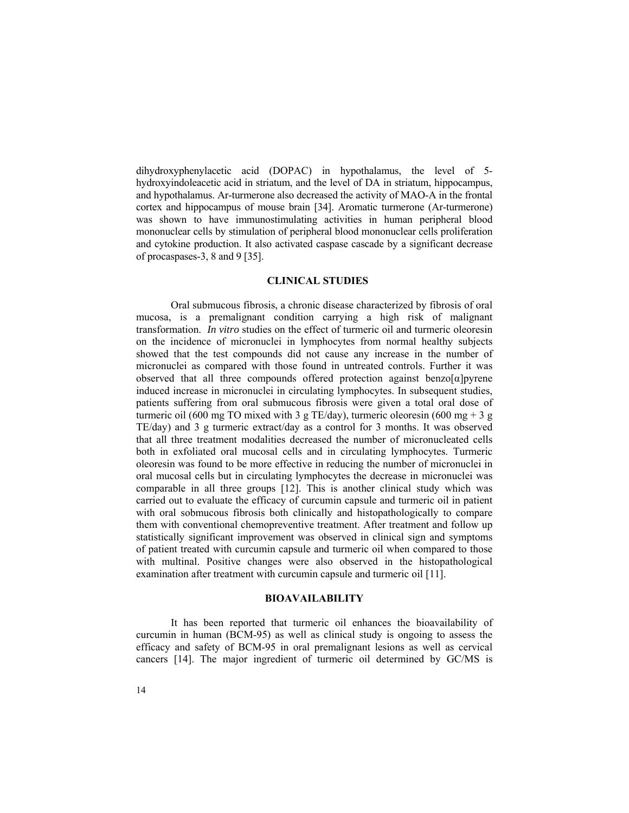dihydroxyphenylacetic acid (DOPAC) in hypothalamus, the level of 5 hydroxyindoleacetic acid in striatum, and the level of DA in striatum, hippocampus, and hypothalamus. Ar-turmerone also decreased the activity of MAO-A in the frontal cortex and hippocampus of mouse brain [34]. Aromatic turmerone (Ar-turmerone) was shown to have immunostimulating activities in human peripheral blood mononuclear cells by stimulation of peripheral blood mononuclear cells proliferation and cytokine production. It also activated caspase cascade by a significant decrease of procaspases-3, 8 and 9 [35].

## **CLINICAL STUDIES**

Oral submucous fibrosis, a chronic disease characterized by fibrosis of oral mucosa, is a premalignant condition carrying a high risk of malignant transformation. *In vitro* studies on the effect of turmeric oil and turmeric oleoresin on the incidence of micronuclei in lymphocytes from normal healthy subjects showed that the test compounds did not cause any increase in the number of micronuclei as compared with those found in untreated controls. Further it was observed that all three compounds offered protection against benzo $[\alpha]$ pyrene induced increase in micronuclei in circulating lymphocytes. In subsequent studies, patients suffering from oral submucous fibrosis were given a total oral dose of turmeric oil (600 mg TO mixed with 3 g TE/day), turmeric oleoresin (600 mg  $+$  3 g TE/day) and 3 g turmeric extract/day as a control for 3 months. It was observed that all three treatment modalities decreased the number of micronucleated cells both in exfoliated oral mucosal cells and in circulating lymphocytes. Turmeric oleoresin was found to be more effective in reducing the number of micronuclei in oral mucosal cells but in circulating lymphocytes the decrease in micronuclei was comparable in all three groups [12]. This is another clinical study which was carried out to evaluate the efficacy of curcumin capsule and turmeric oil in patient with oral sobmucous fibrosis both clinically and histopathologically to compare them with conventional chemopreventive treatment. After treatment and follow up statistically significant improvement was observed in clinical sign and symptoms of patient treated with curcumin capsule and turmeric oil when compared to those with multinal. Positive changes were also observed in the histopathological examination after treatment with curcumin capsule and turmeric oil [11].

## **BIOAVAILABILITY**

It has been reported that turmeric oil enhances the bioavailability of curcumin in human (BCM-95) as well as clinical study is ongoing to assess the efficacy and safety of BCM-95 in oral premalignant lesions as well as cervical cancers [14]. The major ingredient of turmeric oil determined by GC/MS is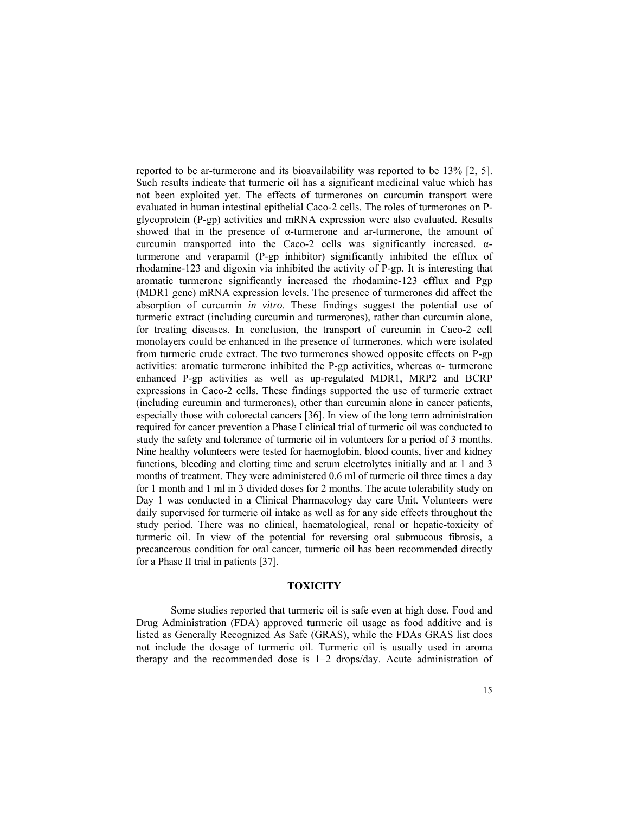reported to be ar-turmerone and its bioavailability was reported to be 13% [2, 5]. Such results indicate that turmeric oil has a significant medicinal value which has not been exploited yet. The effects of turmerones on curcumin transport were evaluated in human intestinal epithelial Caco-2 cells. The roles of turmerones on Pglycoprotein (P-gp) activities and mRNA expression were also evaluated. Results showed that in the presence of  $\alpha$ -turmerone and ar-turmerone, the amount of curcumin transported into the Caco-2 cells was significantly increased. αturmerone and verapamil (P-gp inhibitor) significantly inhibited the efflux of rhodamine-123 and digoxin via inhibited the activity of P-gp. It is interesting that aromatic turmerone significantly increased the rhodamine-123 efflux and Pgp (MDR1 gene) mRNA expression levels. The presence of turmerones did affect the absorption of curcumin *in vitro*. These findings suggest the potential use of turmeric extract (including curcumin and turmerones), rather than curcumin alone, for treating diseases. In conclusion, the transport of curcumin in Caco-2 cell monolayers could be enhanced in the presence of turmerones, which were isolated from turmeric crude extract. The two turmerones showed opposite effects on P-gp activities: aromatic turmerone inhibited the P-gp activities, whereas  $\alpha$ - turmerone enhanced P-gp activities as well as up-regulated MDR1, MRP2 and BCRP expressions in Caco-2 cells. These findings supported the use of turmeric extract (including curcumin and turmerones), other than curcumin alone in cancer patients, especially those with colorectal cancers [36]. In view of the long term administration required for cancer prevention a Phase I clinical trial of turmeric oil was conducted to study the safety and tolerance of turmeric oil in volunteers for a period of 3 months. Nine healthy volunteers were tested for haemoglobin, blood counts, liver and kidney functions, bleeding and clotting time and serum electrolytes initially and at 1 and 3 months of treatment. They were administered 0.6 ml of turmeric oil three times a day for 1 month and 1 ml in 3 divided doses for 2 months. The acute tolerability study on Day 1 was conducted in a Clinical Pharmacology day care Unit. Volunteers were daily supervised for turmeric oil intake as well as for any side effects throughout the study period. There was no clinical, haematological, renal or hepatic-toxicity of turmeric oil. In view of the potential for reversing oral submucous fibrosis, a precancerous condition for oral cancer, turmeric oil has been recommended directly for a Phase II trial in patients [37].

## **TOXICITY**

Some studies reported that turmeric oil is safe even at high dose. Food and Drug Administration (FDA) approved turmeric oil usage as food additive and is listed as Generally Recognized As Safe (GRAS), while the FDAs GRAS list does not include the dosage of turmeric oil. Turmeric oil is usually used in aroma therapy and the recommended dose is 1–2 drops/day. Acute administration of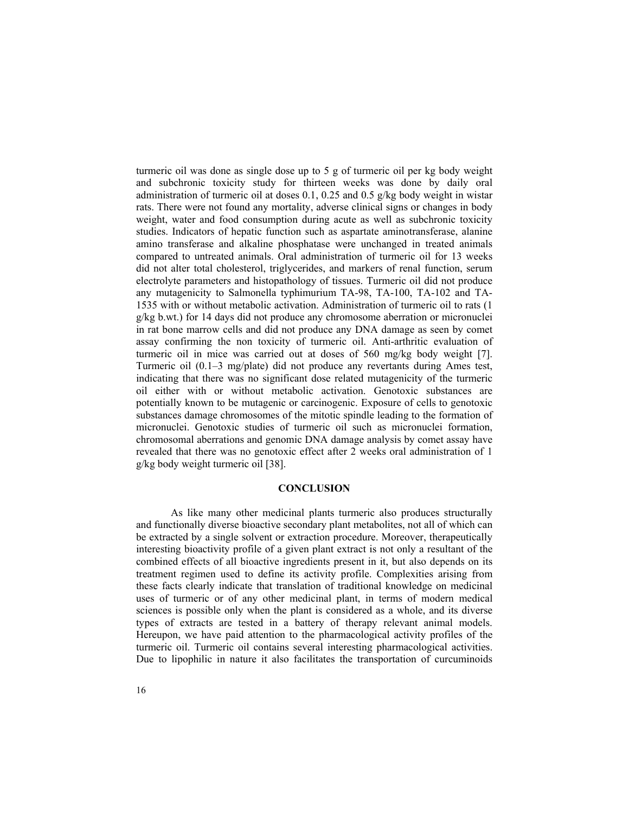turmeric oil was done as single dose up to 5 g of turmeric oil per kg body weight and subchronic toxicity study for thirteen weeks was done by daily oral administration of turmeric oil at doses 0.1, 0.25 and 0.5 g/kg body weight in wistar rats. There were not found any mortality, adverse clinical signs or changes in body weight, water and food consumption during acute as well as subchronic toxicity studies. Indicators of hepatic function such as aspartate aminotransferase, alanine amino transferase and alkaline phosphatase were unchanged in treated animals compared to untreated animals. Oral administration of turmeric oil for 13 weeks did not alter total cholesterol, triglycerides, and markers of renal function, serum electrolyte parameters and histopathology of tissues. Turmeric oil did not produce any mutagenicity to Salmonella typhimurium TA-98, TA-100, TA-102 and TA-1535 with or without metabolic activation. Administration of turmeric oil to rats (1 g/kg b.wt.) for 14 days did not produce any chromosome aberration or micronuclei in rat bone marrow cells and did not produce any DNA damage as seen by comet assay confirming the non toxicity of turmeric oil. Anti-arthritic evaluation of turmeric oil in mice was carried out at doses of 560 mg/kg body weight [7]. Turmeric oil (0.1–3 mg/plate) did not produce any revertants during Ames test, indicating that there was no significant dose related mutagenicity of the turmeric oil either with or without metabolic activation. Genotoxic substances are potentially known to be mutagenic or carcinogenic. Exposure of cells to genotoxic substances damage chromosomes of the mitotic spindle leading to the formation of micronuclei. Genotoxic studies of turmeric oil such as micronuclei formation, chromosomal aberrations and genomic DNA damage analysis by comet assay have revealed that there was no genotoxic effect after 2 weeks oral administration of 1 g/kg body weight turmeric oil [38].

## **CONCLUSION**

As like many other medicinal plants turmeric also produces structurally and functionally diverse bioactive secondary plant metabolites, not all of which can be extracted by a single solvent or extraction procedure. Moreover, therapeutically interesting bioactivity profile of a given plant extract is not only a resultant of the combined effects of all bioactive ingredients present in it, but also depends on its treatment regimen used to define its activity profile. Complexities arising from these facts clearly indicate that translation of traditional knowledge on medicinal uses of turmeric or of any other medicinal plant, in terms of modern medical sciences is possible only when the plant is considered as a whole, and its diverse types of extracts are tested in a battery of therapy relevant animal models. Hereupon, we have paid attention to the pharmacological activity profiles of the turmeric oil. Turmeric oil contains several interesting pharmacological activities. Due to lipophilic in nature it also facilitates the transportation of curcuminoids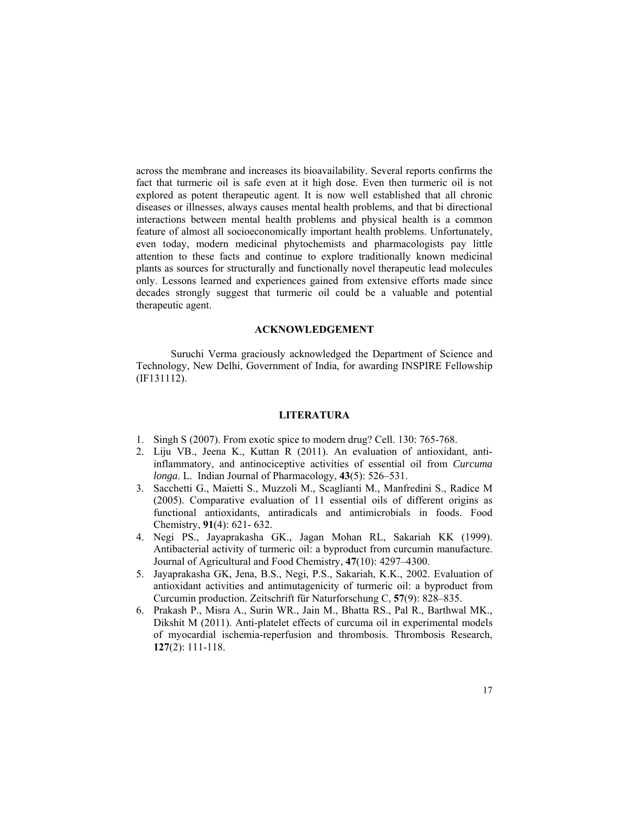across the membrane and increases its bioavailability. Several reports confirms the fact that turmeric oil is safe even at it high dose. Even then turmeric oil is not explored as potent therapeutic agent. It is now well established that all chronic diseases or illnesses, always causes mental health problems, and that bi directional interactions between mental health problems and physical health is a common feature of almost all socioeconomically important health problems. Unfortunately, even today, modern medicinal phytochemists and pharmacologists pay little attention to these facts and continue to explore traditionally known medicinal plants as sources for structurally and functionally novel therapeutic lead molecules only. Lessons learned and experiences gained from extensive efforts made since decades strongly suggest that turmeric oil could be a valuable and potential therapeutic agent.

## **ACKNOWLEDGEMENT**

Suruchi Verma graciously acknowledged the Department of Science and Technology, New Delhi, Government of India, for awarding INSPIRE Fellowship (IF131112).

## **LITERATURA**

- 1. Singh S (2007). From exotic spice to modern drug? Cell. 130: 765-768.
- 2. Liju VB., Jeena K., Kuttan R (2011). An evaluation of antioxidant, antiinflammatory, and antinociceptive activities of essential oil from *Curcuma longa*. L. Indian Journal of Pharmacology, **43**(5): 526–531.
- 3. Sacchetti G., Maietti S., Muzzoli M., Scaglianti M., Manfredini S., Radice M (2005). Comparative evaluation of 11 essential oils of different origins as functional antioxidants, antiradicals and antimicrobials in foods. Food Chemistry, **91**(4): 621- 632.
- 4. Negi PS., Jayaprakasha GK., Jagan Mohan RL, Sakariah KK (1999). Antibacterial activity of turmeric oil: a byproduct from curcumin manufacture. Journal of Agricultural and Food Chemistry, **47**(10): 4297–4300.
- 5. Jayaprakasha GK, Jena, B.S., Negi, P.S., Sakariah, K.K., 2002. Evaluation of antioxidant activities and antimutagenicity of turmeric oil: a byproduct from Curcumin production. Zeitschrift für Naturforschung C, **57**(9): 828–835.
- 6. Prakash P., Misra A., Surin WR., Jain M., Bhatta RS., Pal R., Barthwal MK., Dikshit M (2011). Anti-platelet effects of curcuma oil in experimental models of myocardial ischemia-reperfusion and thrombosis. Thrombosis Research, **127**(2): 111-118.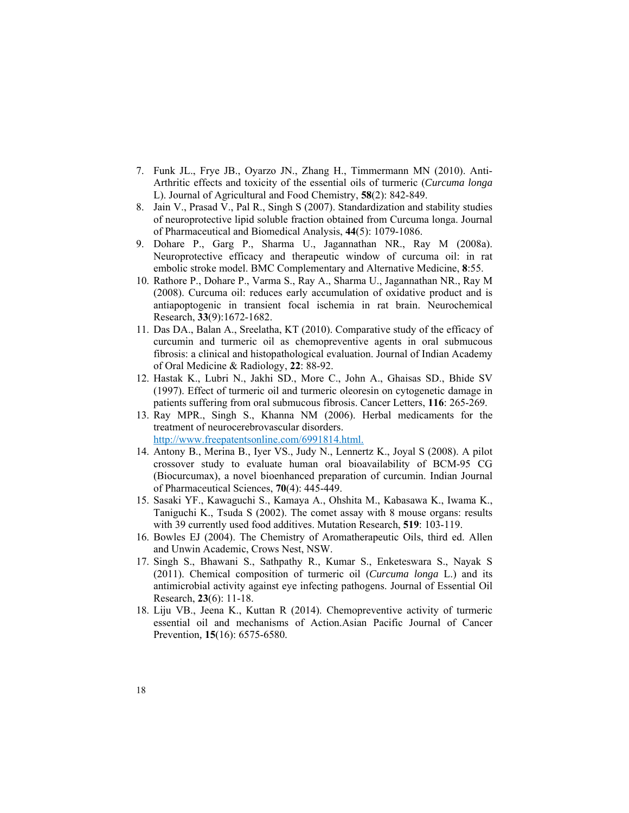- 7. Funk JL., Frye JB., Oyarzo JN., Zhang H., Timmermann MN (2010). Anti-Arthritic effects and toxicity of the essential oils of turmeric (*Curcuma longa* L). Journal of Agricultural and Food Chemistry, **58**(2): 842-849.
- 8. Jain V., Prasad V., Pal R., Singh S (2007). Standardization and stability studies of neuroprotective lipid soluble fraction obtained from Curcuma longa. Journal of Pharmaceutical and Biomedical Analysis, **44**(5): 1079-1086.
- 9. Dohare P., Garg P., Sharma U., Jagannathan NR., Ray M (2008a). Neuroprotective efficacy and therapeutic window of curcuma oil: in rat embolic stroke model. BMC Complementary and Alternative Medicine, **8**:55.
- 10. Rathore P., Dohare P., Varma S., Ray A., Sharma U., Jagannathan NR., Ray M (2008). Curcuma oil: reduces early accumulation of oxidative product and is antiapoptogenic in transient focal ischemia in rat brain. Neurochemical Research, **33**(9):1672-1682.
- 11. Das DA., Balan A., Sreelatha, KT (2010). Comparative study of the efficacy of curcumin and turmeric oil as chemopreventive agents in oral submucous fibrosis: a clinical and histopathological evaluation. Journal of Indian Academy of Oral Medicine & Radiology, **22**: 88-92.
- 12. Hastak K., Lubri N., Jakhi SD., More C., John A., Ghaisas SD., Bhide SV (1997). Effect of turmeric oil and turmeric oleoresin on cytogenetic damage in patients suffering from oral submucous fibrosis. Cancer Letters, **116**: 265-269.
- 13. Ray MPR., Singh S., Khanna NM (2006). Herbal medicaments for the treatment of neurocerebrovascular disorders. http://www.freepatentsonline.com/6991814.html.
- 14. Antony B., Merina B., Iyer VS., Judy N., Lennertz K., Joyal S (2008). A pilot crossover study to evaluate human oral bioavailability of BCM-95 CG (Biocurcumax), a novel bioenhanced preparation of curcumin. Indian Journal of Pharmaceutical Sciences, **70**(4): 445-449.
- 15. Sasaki YF., Kawaguchi S., Kamaya A., Ohshita M., Kabasawa K., Iwama K., Taniguchi K., Tsuda S (2002). The comet assay with 8 mouse organs: results with 39 currently used food additives. Mutation Research, **519**: 103-119.
- 16. Bowles EJ (2004). The Chemistry of Aromatherapeutic Oils, third ed. Allen and Unwin Academic, Crows Nest, NSW.
- 17. Singh S., Bhawani S., Sathpathy R., Kumar S., Enketeswara S., Nayak S (2011). Chemical composition of turmeric oil (*Curcuma longa* L.) and its antimicrobial activity against eye infecting pathogens. Journal of Essential Oil Research, **23**(6): 11-18.
- 18. Liju VB., Jeena K., Kuttan R (2014). Chemopreventive activity of turmeric essential oil and mechanisms of Action.Asian Pacific Journal of Cancer Prevention*,* **15**(16): 6575-6580.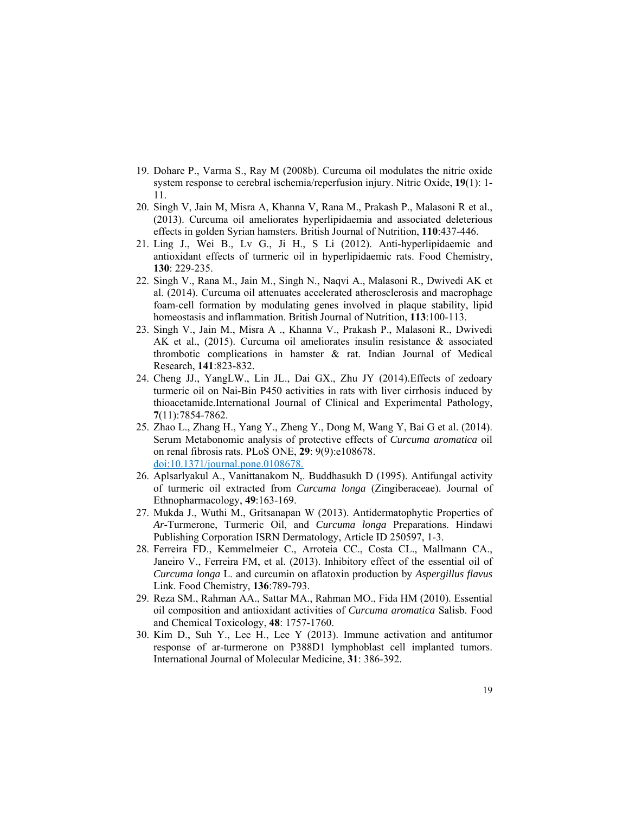- 19. Dohare P., Varma S., Ray M (2008b). Curcuma oil modulates the nitric oxide system response to cerebral ischemia/reperfusion injury. Nitric Oxide, **19**(1): 1- 11.
- 20. Singh V, Jain M, Misra A, Khanna V, Rana M., Prakash P., Malasoni R et al., (2013). Curcuma oil ameliorates hyperlipidaemia and associated deleterious effects in golden Syrian hamsters. British Journal of Nutrition, **110**:437-446.
- 21. Ling J., Wei B., Lv G., Ji H., S Li (2012). Anti-hyperlipidaemic and antioxidant effects of turmeric oil in hyperlipidaemic rats. Food Chemistry, **130**: 229-235.
- 22. Singh V., Rana M., Jain M., Singh N., Naqvi A., Malasoni R., Dwivedi AK et al. (2014). Curcuma oil attenuates accelerated atherosclerosis and macrophage foam-cell formation by modulating genes involved in plaque stability, lipid homeostasis and inflammation. British Journal of Nutrition, **113**:100-113.
- 23. Singh V., Jain M., Misra A ., Khanna V., Prakash P., Malasoni R., Dwivedi AK et al., (2015). Curcuma oil ameliorates insulin resistance & associated thrombotic complications in hamster & rat. Indian Journal of Medical Research, **141**:823-832.
- 24. Cheng JJ., YangLW., Lin JL., Dai GX., Zhu JY (2014).Effects of zedoary turmeric oil on Nai-Bin P450 activities in rats with liver cirrhosis induced by thioacetamide.International Journal of Clinical and Experimental Pathology, **7**(11):7854-7862.
- 25. Zhao L., Zhang H., Yang Y., Zheng Y., Dong M, Wang Y, Bai G et al. (2014). Serum Metabonomic analysis of protective effects of *Curcuma aromatica* oil on renal fibrosis rats. PLoS ONE, **29**: 9(9):e108678. doi:10.1371/journal.pone.0108678.
- 26. Aplsarlyakul A., Vanittanakom N,. Buddhasukh D (1995). Antifungal activity of turmeric oil extracted from *Curcuma longa* (Zingiberaceae). Journal of Ethnopharmacology, **49**:163-169.
- 27. Mukda J., Wuthi M., Gritsanapan W (2013). Antidermatophytic Properties of *Ar*-Turmerone, Turmeric Oil, and *Curcuma longa* Preparations. Hindawi Publishing Corporation ISRN Dermatology, Article ID 250597, 1-3.
- 28. Ferreira FD., Kemmelmeier C., Arroteia CC., Costa CL., Mallmann CA., Janeiro V., Ferreira FM, et al. (2013). Inhibitory effect of the essential oil of *Curcuma longa* L. and curcumin on aflatoxin production by *Aspergillus flavus*  Link. Food Chemistry, **136**:789-793.
- 29. Reza SM., Rahman AA., Sattar MA., Rahman MO., Fida HM (2010). Essential oil composition and antioxidant activities of *Curcuma aromatica* Salisb. Food and Chemical Toxicology, **48**: 1757-1760.
- 30. Kim D., Suh Y., Lee H., Lee Y (2013). Immune activation and antitumor response of ar-turmerone on P388D1 lymphoblast cell implanted tumors. International Journal of Molecular Medicine, **31**: 386-392.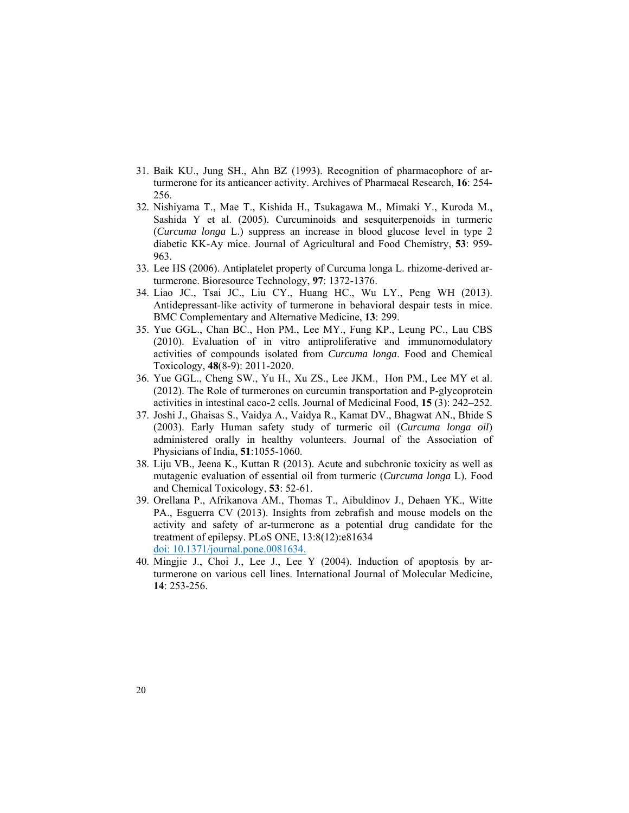- 31. Baik KU., Jung SH., Ahn BZ (1993). Recognition of pharmacophore of arturmerone for its anticancer activity. Archives of Pharmacal Research, **16**: 254- 256.
- 32. Nishiyama T., Mae T., Kishida H., Tsukagawa M., Mimaki Y., Kuroda M., Sashida Y et al. (2005). Curcuminoids and sesquiterpenoids in turmeric (*Curcuma longa* L.) suppress an increase in blood glucose level in type 2 diabetic KK-Ay mice. Journal of Agricultural and Food Chemistry, **53**: 959- 963.
- 33. Lee HS (2006). Antiplatelet property of Curcuma longa L. rhizome-derived arturmerone. Bioresource Technology, **97**: 1372-1376.
- 34. Liao JC., Tsai JC., Liu CY., Huang HC., Wu LY., Peng WH (2013). Antidepressant-like activity of turmerone in behavioral despair tests in mice. BMC Complementary and Alternative Medicine, **13**: 299.
- 35. Yue GGL., Chan BC., Hon PM., Lee MY., Fung KP., Leung PC., Lau CBS (2010). Evaluation of in vitro antiproliferative and immunomodulatory activities of compounds isolated from *Curcuma longa*. Food and Chemical Toxicology, **48**(8-9): 2011-2020.
- 36. Yue GGL., Cheng SW., Yu H., Xu ZS., Lee JKM., Hon PM., Lee MY et al. (2012). The Role of turmerones on curcumin transportation and P-glycoprotein activities in intestinal caco-2 cells. Journal of Medicinal Food, **15** (3): 242–252.
- 37. Joshi J., Ghaisas S., Vaidya A., Vaidya R., Kamat DV., Bhagwat AN., Bhide S (2003). Early Human safety study of turmeric oil (*Curcuma longa oil*) administered orally in healthy volunteers. Journal of the Association of Physicians of India, **51**:1055-1060.
- 38. Liju VB., Jeena K., Kuttan R (2013). Acute and subchronic toxicity as well as mutagenic evaluation of essential oil from turmeric (*Curcuma longa* L). Food and Chemical Toxicology, **53**: 52-61.
- 39. Orellana P., Afrikanova AM., Thomas T., Aibuldinov J., Dehaen YK., Witte PA., Esguerra CV (2013). Insights from zebrafish and mouse models on the activity and safety of ar-turmerone as a potential drug candidate for the treatment of epilepsy. PLoS ONE, 13:8(12):e81634 doi: 10.1371/journal.pone.0081634.
- 40. Mingjie J., Choi J., Lee J., Lee Y (2004). Induction of apoptosis by arturmerone on various cell lines. International Journal of Molecular Medicine, **14**: 253-256.